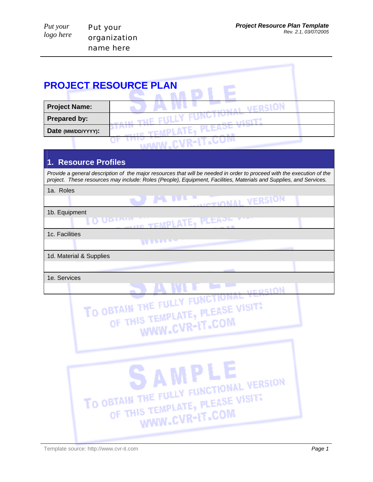|                      | <b>PROJECT RESOURCE PLAN</b>                                                                                                                                                                                                                 |
|----------------------|----------------------------------------------------------------------------------------------------------------------------------------------------------------------------------------------------------------------------------------------|
|                      |                                                                                                                                                                                                                                              |
| <b>Project Name:</b> | VERSION                                                                                                                                                                                                                                      |
| <b>Prepared by:</b>  | <b>ALLE THE FILL</b>                                                                                                                                                                                                                         |
| Date (MM/DD/YYYY):   | <b>HR. TEMPLATE.</b>                                                                                                                                                                                                                         |
|                      | <b>MANW.CVR-IT.COT</b>                                                                                                                                                                                                                       |
|                      |                                                                                                                                                                                                                                              |
| 1. Resource Profiles |                                                                                                                                                                                                                                              |
|                      | Provide a general description of the major resources that will be needed in order to proceed with the execution of the<br>project. These resources may include: Roles (People), Equipment, Facilities, Materials and Supplies, and Services. |
| 1a. Roles            |                                                                                                                                                                                                                                              |
|                      | <b>UNIOTIONAL VERSION</b>                                                                                                                                                                                                                    |
| 1b. Equipment        |                                                                                                                                                                                                                                              |
|                      | TEMPLATE                                                                                                                                                                                                                                     |

**TIME** 

1c. Facilities

1d. Material & Supplies

1e. Services

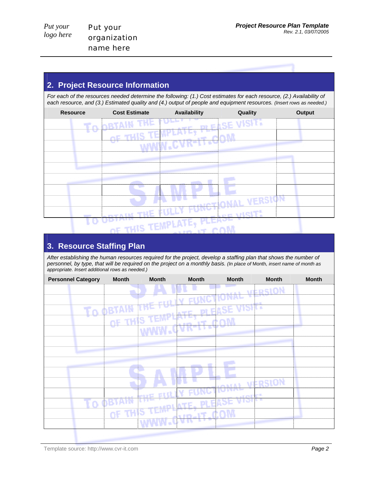## **2. Project Resource Information**

*For each of the resources needed determine the following: (1.) Cost estimates for each resource, (2.) Availability of each resource, and (3.) Estimated quality and (4.) output of people and equipment resources. (Insert rows as needed.)*

| <b>Resource</b> | <b>Cost Estimate</b>             | Availability  | Quality           | <b>Output</b> |
|-----------------|----------------------------------|---------------|-------------------|---------------|
|                 | <b>THE FOR</b><br><b>ADBTAIN</b> |               | <b>ASE VISIT.</b> |               |
|                 | OF TH                            |               |                   |               |
|                 |                                  | лк-п          |                   |               |
|                 |                                  |               |                   |               |
|                 |                                  |               |                   |               |
|                 |                                  |               |                   |               |
|                 |                                  |               |                   |               |
|                 |                                  |               | VERSION           |               |
|                 | <b>THE</b><br><b>SHOP IN</b>     | <b>IV FU</b>  | шен<br>--         |               |
|                 | <b>CARGE TEMPLATE.</b>           | <b>ALEWAL</b> | <b>STATISTICS</b> |               |

## **3. Resource Staffing Plan**

*After establishing the human resources required for the project, develop a staffing plan that shows the number of personnel, by type, that will be required on the project on a monthly basis. (In place of* Month*, insert name of month as appropriate. Insert additional rows as needed.)*

| <b>Personnel Category</b> | <b>Month</b> | <b>Month</b> | <b>Month</b> | <b>Month</b>    | <b>Month</b>  | <b>Month</b> |
|---------------------------|--------------|--------------|--------------|-----------------|---------------|--------------|
|                           |              |              |              |                 | <b>FRSION</b> |              |
|                           |              |              |              | <b>NCTIUNAL</b> | ٠U            |              |
|                           | TO OBTA      |              |              | <b>VISIT.</b>   |               |              |
|                           | ne :         |              |              |                 |               |              |
|                           |              |              |              |                 |               |              |
|                           |              |              |              |                 |               |              |
|                           |              |              |              |                 |               |              |
|                           |              |              |              |                 |               |              |
|                           |              |              |              |                 |               |              |
|                           |              |              |              |                 | <b>RSION:</b> |              |
|                           |              | e pri C      |              | arest           | ن ب           |              |
| Ŧο                        |              |              |              | ura             |               |              |
|                           | αF           |              |              |                 |               |              |
|                           |              | I.<br>ń.     |              |                 |               |              |
|                           |              |              |              |                 |               |              |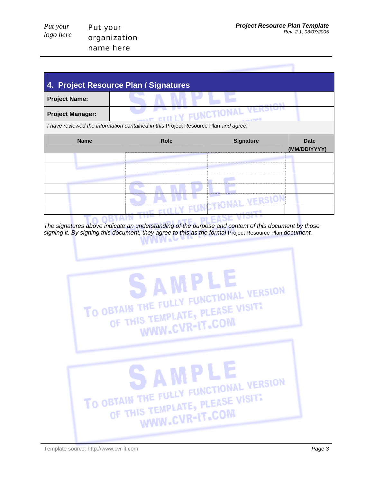| 4. Project Resource Plan / Signatures                                              |                           |                  |                             |
|------------------------------------------------------------------------------------|---------------------------|------------------|-----------------------------|
| <b>Project Name:</b>                                                               |                           |                  |                             |
| <b>Project Manager:</b>                                                            | THE EIGHT FUNCTIONAL VERS |                  |                             |
| I have reviewed the information contained in this Project Resource Plan and agree: |                           |                  |                             |
| <b>Name</b>                                                                        | <b>Role</b>               | <b>Signature</b> | <b>Date</b><br>(MM/DD/YYYY) |
|                                                                                    |                           |                  |                             |
|                                                                                    |                           |                  |                             |
|                                                                                    |                           |                  |                             |
|                                                                                    |                           |                  |                             |
|                                                                                    |                           |                  |                             |
|                                                                                    |                           |                  |                             |

÷∈ DI EASE VI⊃r *The signatures above indicate an understanding of the purpose and content of this document by those*  signing it. By signing this document, they agree to this as the formal Project Resource Plan *document*.